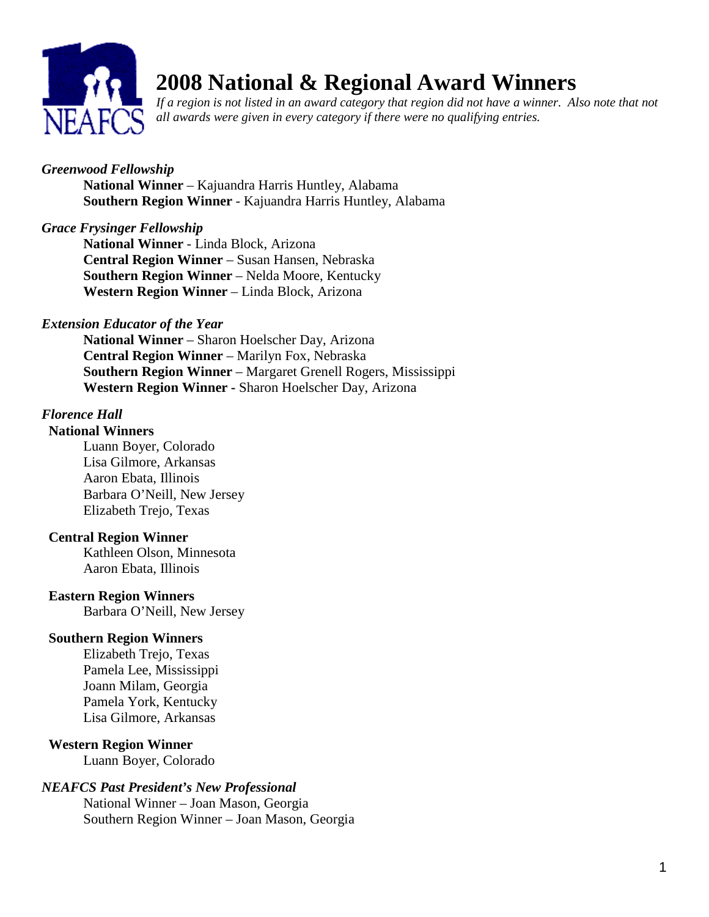

# **2008 National & Regional Award Winners**

*If a region is not listed in an award category that region did not have a winner. Also note that not all awards were given in every category if there were no qualifying entries.* 

# *Greenwood Fellowship*

**National Winner** – Kajuandra Harris Huntley, Alabama **Southern Region Winner** - Kajuandra Harris Huntley, Alabama

# *Grace Frysinger Fellowship*

**National Winner** - Linda Block, Arizona **Central Region Winner** – Susan Hansen, Nebraska **Southern Region Winner** – Nelda Moore, Kentucky **Western Region Winner** – Linda Block, Arizona

# *Extension Educator of the Year*

**National Winner** – Sharon Hoelscher Day, Arizona **Central Region Winner** – Marilyn Fox, Nebraska **Southern Region Winner** – Margaret Grenell Rogers, Mississippi **Western Region Winner -** Sharon Hoelscher Day, Arizona

#### *Florence Hall*  **National Winners**

Luann Boyer, Colorado Lisa Gilmore, Arkansas Aaron Ebata, Illinois Barbara O'Neill, New Jersey Elizabeth Trejo, Texas

# **Central Region Winner**

Kathleen Olson, Minnesota Aaron Ebata, Illinois

#### **Eastern Region Winners**

Barbara O'Neill, New Jersey

# **Southern Region Winners**

Elizabeth Trejo, Texas Pamela Lee, Mississippi Joann Milam, Georgia Pamela York, Kentucky Lisa Gilmore, Arkansas

# **Western Region Winner**

Luann Boyer, Colorado

# *NEAFCS Past President's New Professional*

National Winner – Joan Mason, Georgia Southern Region Winner – Joan Mason, Georgia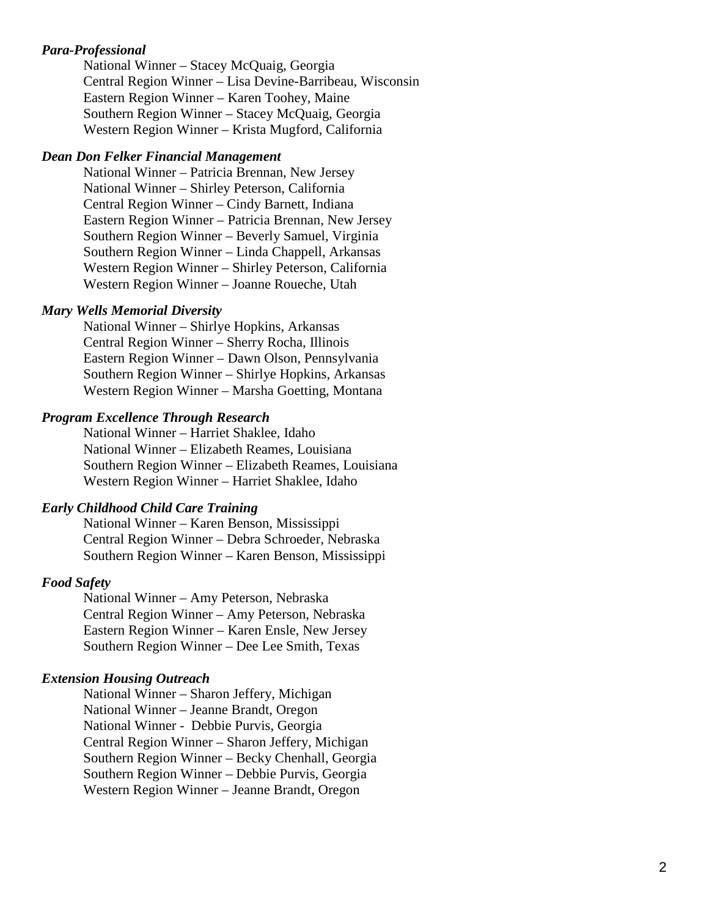#### *Para-Professional*

National Winner – Stacey McQuaig, Georgia Central Region Winner – Lisa Devine-Barribeau, Wisconsin Eastern Region Winner – Karen Toohey, Maine Southern Region Winner – Stacey McQuaig, Georgia Western Region Winner – Krista Mugford, California

#### *Dean Don Felker Financial Management*

National Winner – Patricia Brennan, New Jersey National Winner – Shirley Peterson, California Central Region Winner – Cindy Barnett, Indiana Eastern Region Winner – Patricia Brennan, New Jersey Southern Region Winner – Beverly Samuel, Virginia Southern Region Winner – Linda Chappell, Arkansas Western Region Winner – Shirley Peterson, California Western Region Winner – Joanne Roueche, Utah

#### *Mary Wells Memorial Diversity*

National Winner – Shirlye Hopkins, Arkansas Central Region Winner – Sherry Rocha, Illinois Eastern Region Winner – Dawn Olson, Pennsylvania Southern Region Winner – Shirlye Hopkins, Arkansas Western Region Winner – Marsha Goetting, Montana

#### *Program Excellence Through Research*

National Winner – Harriet Shaklee, Idaho National Winner – Elizabeth Reames, Louisiana Southern Region Winner – Elizabeth Reames, Louisiana Western Region Winner – Harriet Shaklee, Idaho

#### *Early Childhood Child Care Training*

National Winner – Karen Benson, Mississippi Central Region Winner – Debra Schroeder, Nebraska Southern Region Winner – Karen Benson, Mississippi

#### *Food Safety*

National Winner – Amy Peterson, Nebraska Central Region Winner – Amy Peterson, Nebraska Eastern Region Winner – Karen Ensle, New Jersey Southern Region Winner – Dee Lee Smith, Texas

#### *Extension Housing Outreach*

National Winner – Sharon Jeffery, Michigan National Winner – Jeanne Brandt, Oregon National Winner - Debbie Purvis, Georgia Central Region Winner – Sharon Jeffery, Michigan Southern Region Winner – Becky Chenhall, Georgia Southern Region Winner – Debbie Purvis, Georgia Western Region Winner – Jeanne Brandt, Oregon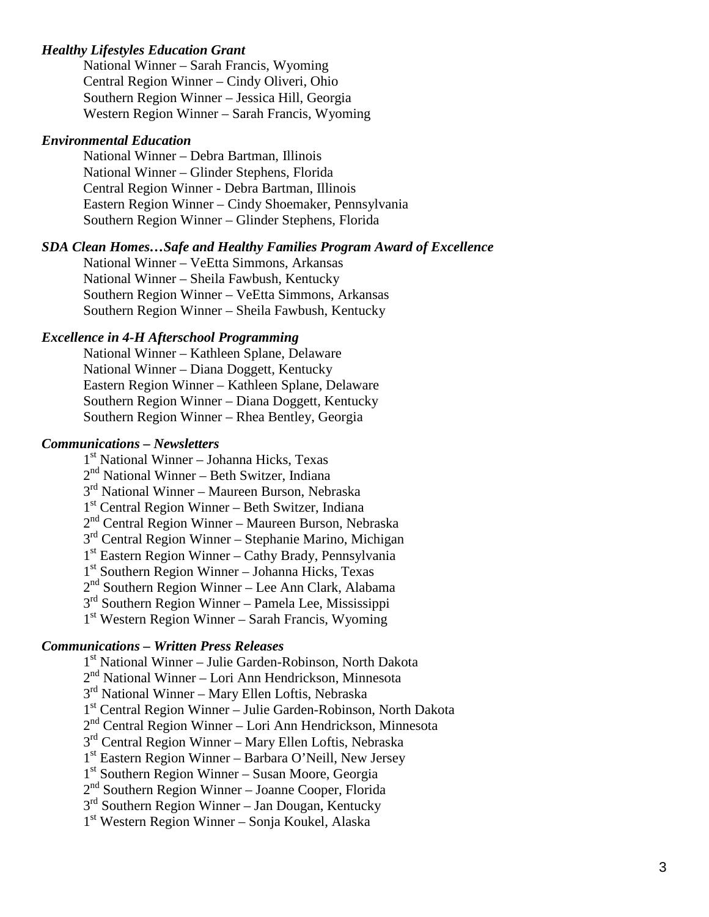#### *Healthy Lifestyles Education Grant*

National Winner – Sarah Francis, Wyoming Central Region Winner – Cindy Oliveri, Ohio Southern Region Winner – Jessica Hill, Georgia Western Region Winner – Sarah Francis, Wyoming

#### *Environmental Education*

National Winner – Debra Bartman, Illinois National Winner – Glinder Stephens, Florida Central Region Winner - Debra Bartman, Illinois Eastern Region Winner – Cindy Shoemaker, Pennsylvania Southern Region Winner – Glinder Stephens, Florida

#### *SDA Clean Homes…Safe and Healthy Families Program Award of Excellence*

National Winner – VeEtta Simmons, Arkansas National Winner – Sheila Fawbush, Kentucky Southern Region Winner – VeEtta Simmons, Arkansas Southern Region Winner – Sheila Fawbush, Kentucky

#### *Excellence in 4-H Afterschool Programming*

National Winner – Kathleen Splane, Delaware National Winner – Diana Doggett, Kentucky Eastern Region Winner – Kathleen Splane, Delaware Southern Region Winner – Diana Doggett, Kentucky Southern Region Winner – Rhea Bentley, Georgia

#### *Communications – Newsletters*

1st National Winner – Johanna Hicks, Texas 2<sup>nd</sup> National Winner – Beth Switzer, Indiana 3rd National Winner – Maureen Burson, Nebraska 1st Central Region Winner – Beth Switzer, Indiana 2<sup>nd</sup> Central Region Winner – Maureen Burson, Nebraska 3rd Central Region Winner – Stephanie Marino, Michigan  $1<sup>st</sup>$  Eastern Region Winner – Cathy Brady, Pennsylvania  $1<sup>st</sup>$  Southern Region Winner – Johanna Hicks, Texas 2<sup>nd</sup> Southern Region Winner – Lee Ann Clark, Alabama 3rd Southern Region Winner – Pamela Lee, Mississippi  $1<sup>st</sup> Western Region Winner – Sarah Francis, Wyoming$ 

#### *Communications – Written Press Releases*

1st National Winner – Julie Garden-Robinson, North Dakota  $2<sup>nd</sup>$  National Winner – Lori Ann Hendrickson, Minnesota 3<sup>rd</sup> National Winner – Mary Ellen Loftis, Nebraska 1st Central Region Winner – Julie Garden-Robinson, North Dakota  $2<sup>nd</sup>$  Central Region Winner – Lori Ann Hendrickson, Minnesota  $3<sup>rd</sup>$  Central Region Winner – Mary Ellen Loftis, Nebraska 1<sup>st</sup> Eastern Region Winner – Barbara O'Neill, New Jersey 1<sup>st</sup> Southern Region Winner – Susan Moore, Georgia 2<sup>nd</sup> Southern Region Winner – Joanne Cooper, Florida  $3<sup>rd</sup>$  Southern Region Winner – Jan Dougan, Kentucky 1st Western Region Winner – Sonja Koukel, Alaska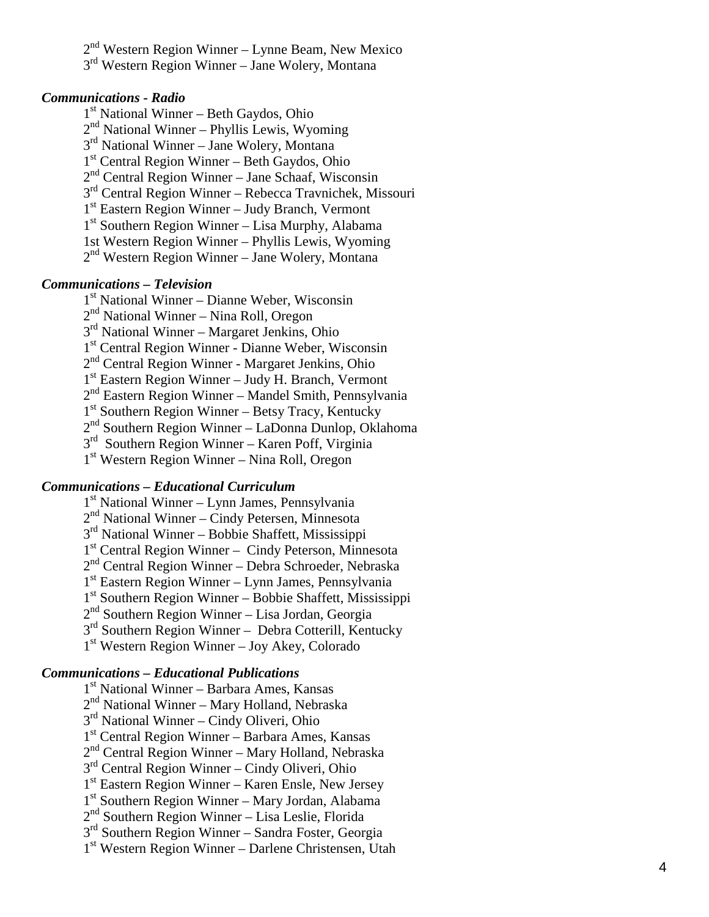$2<sup>nd</sup> Western Region Winner – Lynne Beam, New Mexico$ 3<sup>rd</sup> Western Region Winner – Jane Wolery, Montana

#### *Communications - Radio*

1<sup>st</sup> National Winner – Beth Gaydos, Ohio 2nd National Winner – Phyllis Lewis, Wyoming  $3<sup>rd</sup>$  National Winner – Jane Wolery, Montana  $1<sup>st</sup>$  Central Region Winner – Beth Gaydos, Ohio  $2<sup>nd</sup>$  Central Region Winner – Jane Schaaf, Wisconsin  $3<sup>rd</sup>$  Central Region Winner – Rebecca Travnichek, Missouri 1<sup>st</sup> Eastern Region Winner – Judy Branch, Vermont  $1<sup>st</sup>$  Southern Region Winner – Lisa Murphy, Alabama 1st Western Region Winner – Phyllis Lewis, Wyoming 2nd Western Region Winner – Jane Wolery, Montana

#### *Communications – Television*

1st National Winner – Dianne Weber, Wisconsin

 $2<sup>nd</sup>$  National Winner – Nina Roll, Oregon

3rd National Winner – Margaret Jenkins, Ohio

1<sup>st</sup> Central Region Winner - Dianne Weber, Wisconsin

2nd Central Region Winner - Margaret Jenkins, Ohio

 $1<sup>st</sup>$  Eastern Region Winner – Judy H. Branch, Vermont

 $2<sup>nd</sup>$  Eastern Region Winner – Mandel Smith, Pennsylvania

 $1<sup>st</sup>$  Southern Region Winner – Betsy Tracy, Kentucky

 $2<sup>nd</sup>$  Southern Region Winner – LaDonna Dunlop, Oklahoma

3rd Southern Region Winner – Karen Poff, Virginia

1st Western Region Winner – Nina Roll, Oregon

#### *Communications – Educational Curriculum*

1st National Winner – Lynn James, Pennsylvania 2<sup>nd</sup> National Winner – Cindy Petersen, Minnesota  $3<sup>rd</sup>$  National Winner – Bobbie Shaffett, Mississippi 1st Central Region Winner – Cindy Peterson, Minnesota  $2<sup>nd</sup>$  Central Region Winner – Debra Schroeder, Nebraska 1st Eastern Region Winner – Lynn James, Pennsylvania 1st Southern Region Winner – Bobbie Shaffett, Mississippi  $2<sup>nd</sup>$  Southern Region Winner – Lisa Jordan, Georgia 3<sup>rd</sup> Southern Region Winner – Debra Cotterill, Kentucky 1st Western Region Winner – Joy Akey, Colorado

#### *Communications – Educational Publications*

1<sup>st</sup> National Winner – Barbara Ames, Kansas  $2<sup>nd</sup>$  National Winner – Mary Holland, Nebraska 3rd National Winner – Cindy Oliveri, Ohio 1st Central Region Winner – Barbara Ames, Kansas  $2<sup>nd</sup>$  Central Region Winner – Mary Holland, Nebraska 3<sup>rd</sup> Central Region Winner – Cindy Oliveri, Ohio  $1<sup>st</sup>$  Eastern Region Winner – Karen Ensle, New Jersey 1<sup>st</sup> Southern Region Winner – Mary Jordan, Alabama 2nd Southern Region Winner – Lisa Leslie, Florida  $3<sup>rd</sup>$  Southern Region Winner – Sandra Foster, Georgia 1st Western Region Winner – Darlene Christensen, Utah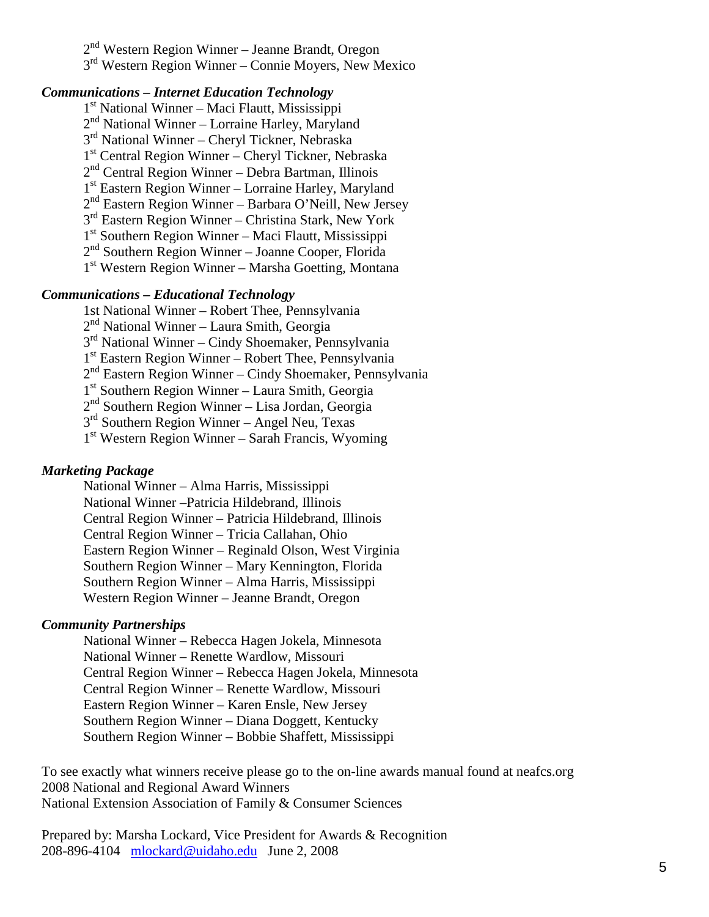2nd Western Region Winner – Jeanne Brandt, Oregon 3rd Western Region Winner – Connie Moyers, New Mexico

#### *Communications – Internet Education Technology*

 $1<sup>st</sup>$  National Winner – Maci Flautt, Mississippi 2<sup>nd</sup> National Winner – Lorraine Harley, Maryland 3<sup>rd</sup> National Winner – Cheryl Tickner, Nebraska 1st Central Region Winner – Cheryl Tickner, Nebraska  $2<sup>nd</sup>$  Central Region Winner – Debra Bartman, Illinois 1<sup>st</sup> Eastern Region Winner – Lorraine Harley, Maryland  $2<sup>nd</sup>$  Eastern Region Winner – Barbara O'Neill, New Jersey 3rd Eastern Region Winner – Christina Stark, New York 1st Southern Region Winner – Maci Flautt, Mississippi  $2<sup>nd</sup>$  Southern Region Winner – Joanne Cooper, Florida 1<sup>st</sup> Western Region Winner – Marsha Goetting, Montana

#### *Communications – Educational Technology*

1st National Winner – Robert Thee, Pennsylvania 2nd National Winner – Laura Smith, Georgia 3rd National Winner – Cindy Shoemaker, Pennsylvania 1st Eastern Region Winner – Robert Thee, Pennsylvania  $2<sup>nd</sup>$  Eastern Region Winner – Cindy Shoemaker, Pennsylvania 1<sup>st</sup> Southern Region Winner – Laura Smith, Georgia  $2<sup>nd</sup>$  Southern Region Winner – Lisa Jordan, Georgia 3<sup>rd</sup> Southern Region Winner – Angel Neu, Texas  $1<sup>st</sup>$  Western Region Winner – Sarah Francis, Wyoming

#### *Marketing Package*

National Winner – Alma Harris, Mississippi National Winner –Patricia Hildebrand, Illinois Central Region Winner – Patricia Hildebrand, Illinois Central Region Winner – Tricia Callahan, Ohio Eastern Region Winner – Reginald Olson, West Virginia Southern Region Winner – Mary Kennington, Florida Southern Region Winner – Alma Harris, Mississippi Western Region Winner – Jeanne Brandt, Oregon

#### *Community Partnerships*

National Winner – Rebecca Hagen Jokela, Minnesota National Winner – Renette Wardlow, Missouri Central Region Winner – Rebecca Hagen Jokela, Minnesota Central Region Winner – Renette Wardlow, Missouri Eastern Region Winner – Karen Ensle, New Jersey Southern Region Winner – Diana Doggett, Kentucky Southern Region Winner – Bobbie Shaffett, Mississippi

To see exactly what winners receive please go to the on-line awards manual found at neafcs.org 2008 National and Regional Award Winners National Extension Association of Family & Consumer Sciences

Prepared by: Marsha Lockard, Vice President for Awards & Recognition 208-896-4104 [mlockard@uidaho.edu](mailto:mlockard@uidaho.edu) June 2, 2008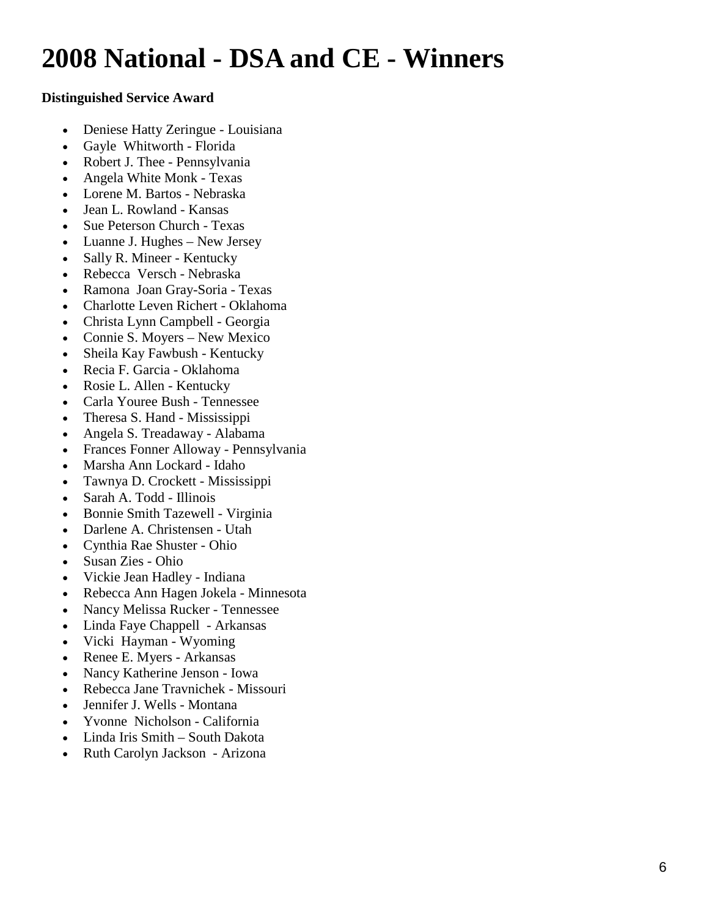# **2008 National - DSA and CE - Winners**

# **Distinguished Service Award**

- Deniese Hatty Zeringue Louisiana
- Gayle Whitworth Florida
- Robert J. Thee Pennsylvania
- Angela White Monk Texas
- Lorene M. Bartos Nebraska
- Jean L. Rowland Kansas
- Sue Peterson Church Texas
- Luanne J. Hughes New Jersey
- Sally R. Mineer Kentucky
- Rebecca Versch Nebraska
- Ramona Joan Gray-Soria Texas
- Charlotte Leven Richert Oklahoma
- Christa Lynn Campbell Georgia
- Connie S. Moyers New Mexico
- Sheila Kay Fawbush Kentucky
- Recia F. Garcia Oklahoma
- Rosie L. Allen Kentucky
- Carla Youree Bush Tennessee
- Theresa S. Hand Mississippi
- Angela S. Treadaway Alabama
- Frances Fonner Alloway Pennsylvania
- Marsha Ann Lockard Idaho
- Tawnya D. Crockett Mississippi
- Sarah A. Todd Illinois
- Bonnie Smith Tazewell Virginia
- Darlene A. Christensen Utah
- Cynthia Rae Shuster Ohio
- Susan Zies Ohio
- Vickie Jean Hadley Indiana
- Rebecca Ann Hagen Jokela Minnesota
- Nancy Melissa Rucker Tennessee
- Linda Faye Chappell Arkansas
- Vicki Hayman Wyoming
- Renee E. Myers Arkansas
- Nancy Katherine Jenson Iowa
- Rebecca Jane Travnichek Missouri
- Jennifer J. Wells Montana
- Yvonne Nicholson California
- Linda Iris Smith South Dakota
- Ruth Carolyn Jackson Arizona